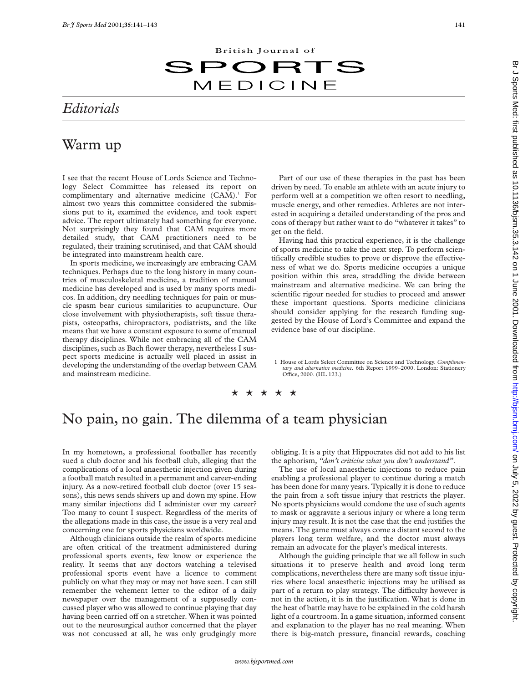

# *Editorials*

### Warm up

I see that the recent House of Lords Science and Technology Select Committee has released its report on complimentary and alternative medicine  $(CAM)^1$ . For almost two years this committee considered the submissions put to it, examined the evidence, and took expert advice. The report ultimately had something for everyone. Not surprisingly they found that CAM requires more detailed study, that CAM practitioners need to be regulated, their training scrutinised, and that CAM should be integrated into mainstream health care.

In sports medicine, we increasingly are embracing CAM techniques. Perhaps due to the long history in many countries of musculoskeletal medicine, a tradition of manual medicine has developed and is used by many sports medicos. In addition, dry needling techniques for pain or muscle spasm bear curious similarities to acupuncture. Our close involvement with physiotherapists, soft tissue therapists, osteopaths, chiropractors, podiatrists, and the like means that we have a constant exposure to some of manual therapy disciplines. While not embracing all of the CAM disciplines, such as Bach flower therapy, nevertheless I suspect sports medicine is actually well placed in assist in developing the understanding of the overlap between CAM and mainstream medicine.

Part of our use of these therapies in the past has been driven by need. To enable an athlete with an acute injury to perform well at a competition we often resort to needling, muscle energy, and other remedies. Athletes are not interested in acquiring a detailed understanding of the pros and cons of therapy but rather want to do "whatever it takes" to get on the field.

Having had this practical experience, it is the challenge of sports medicine to take the next step. To perform scientifically credible studies to prove or disprove the effectiveness of what we do. Sports medicine occupies a unique position within this area, straddling the divide between mainstream and alternative medicine. We can bring the scientific rigour needed for studies to proceed and answer these important questions. Sports medicine clinicians should consider applying for the research funding suggested by the House of Lord's Committee and expand the evidence base of our discipline.

#### \* \* \* \* \*

## No pain, no gain. The dilemma of a team physician

In my hometown, a professional footballer has recently sued a club doctor and his football club, alleging that the complications of a local anaesthetic injection given during a football match resulted in a permanent and career-ending injury. As a now-retired football club doctor (over 15 seasons), this news sends shivers up and down my spine. How many similar injections did I administer over my career? Too many to count I suspect. Regardless of the merits of the allegations made in this case, the issue is a very real and concerning one for sports physicians worldwide.

Although clinicians outside the realm of sports medicine are often critical of the treatment administered during professional sports events, few know or experience the reality. It seems that any doctors watching a televised professional sports event have a licence to comment publicly on what they may or may not have seen. I can still remember the vehement letter to the editor of a daily newspaper over the management of a supposedly concussed player who was allowed to continue playing that day having been carried off on a stretcher. When it was pointed out to the neurosurgical author concerned that the player was not concussed at all, he was only grudgingly more

obliging. It is a pity that Hippocrates did not add to his list the aphorism*, "don't criticise what you don't understand"*.

The use of local anaesthetic injections to reduce pain enabling a professional player to continue during a match has been done for many years. Typically it is done to reduce the pain from a soft tissue injury that restricts the player. No sports physicians would condone the use of such agents to mask or aggravate a serious injury or where a long term injury may result. It is not the case that the end justifies the means. The game must always come a distant second to the players long term welfare, and the doctor must always remain an advocate for the player's medical interests.

Although the guiding principle that we all follow in such situations it to preserve health and avoid long term complications, nevertheless there are many soft tissue injuries where local anaesthetic injections may be utilised as part of a return to play strategy. The difficulty however is not in the action, it is in the justification. What is done in the heat of battle may have to be explained in the cold harsh light of a courtroom. In a game situation, informed consent and explanation to the player has no real meaning. When there is big-match pressure, financial rewards, coaching

<sup>1</sup> House of Lords Select Committee on Science and Technology. *Complimentary and alternative medicine.* 6th Report 1999–2000. London: Stationery Office, 2000. (HL 123.)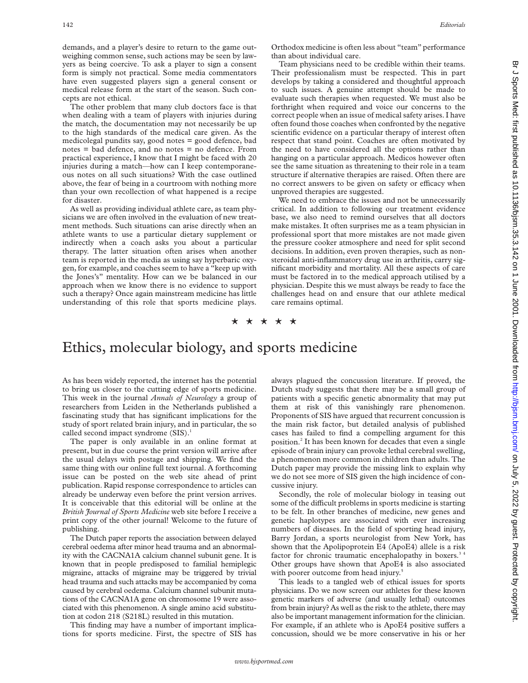demands, and a player's desire to return to the game outweighing common sense, such actions may be seen by lawyers as being coercive. To ask a player to sign a consent form is simply not practical. Some media commentators have even suggested players sign a general consent or medical release form at the start of the season. Such concepts are not ethical.

The other problem that many club doctors face is that when dealing with a team of players with injuries during the match, the documentation may not necessarily be up to the high standards of the medical care given. As the medicolegal pundits say, good notes = good defence, bad notes = bad defence, and no notes = no defence. From practical experience, I know that I might be faced with 20 injuries during a match—how can I keep contemporaneous notes on all such situations? With the case outlined above, the fear of being in a courtroom with nothing more than your own recollection of what happened is a recipe for disaster.

As well as providing individual athlete care, as team physicians we are often involved in the evaluation of new treatment methods. Such situations can arise directly when an athlete wants to use a particular dietary supplement or indirectly when a coach asks you about a particular therapy. The latter situation often arises when another team is reported in the media as using say hyperbaric oxygen, for example, and coaches seem to have a "keep up with the Jones's" mentality. How can we be balanced in our approach when we know there is no evidence to support such a therapy? Once again mainstream medicine has little understanding of this role that sports medicine plays.

Orthodox medicine is often less about "team" performance than about individual care.

Team physicians need to be credible within their teams. Their professionalism must be respected. This in part develops by taking a considered and thoughtful approach to such issues. A genuine attempt should be made to evaluate such therapies when requested. We must also be forthright when required and voice our concerns to the correct people when an issue of medical safety arises. I have often found those coaches when confronted by the negative scientific evidence on a particular therapy of interest often respect that stand point. Coaches are often motivated by the need to have considered all the options rather than hanging on a particular approach. Medicos however often see the same situation as threatening to their role in a team structure if alternative therapies are raised. Often there are no correct answers to be given on safety or efficacy when unproved therapies are suggested.

We need to embrace the issues and not be unnecessarily critical. In addition to following our treatment evidence base, we also need to remind ourselves that all doctors make mistakes. It often surprises me as a team physician in professional sport that more mistakes are not made given the pressure cooker atmosphere and need for split second decisions. In addition, even proven therapies, such as nonsteroidal anti-inflammatory drug use in arthritis, carry significant morbidity and mortality. All these aspects of care must be factored in to the medical approach utilised by a physician. Despite this we must always be ready to face the challenges head on and ensure that our athlete medical care remains optimal.

#### \* \* \* \* \*

#### Ethics, molecular biology, and sports medicine

As has been widely reported, the internet has the potential to bring us closer to the cutting edge of sports medicine. This week in the journal *Annals of Neurology* a group of researchers from Leiden in the Netherlands published a fascinating study that has significant implications for the study of sport related brain injury, and in particular, the so called second impact syndrome  $(SIS)^{1}$ .

The paper is only available in an online format at present, but in due course the print version will arrive after the usual delays with postage and shipping. We find the same thing with our online full text journal. A forthcoming issue can be posted on the web site ahead of print publication. Rapid response correspondence to articles can already be underway even before the print version arrives. It is conceivable that this editorial will be online at the *British Journal of Sports Medicine* web site before I receive a print copy of the other journal! Welcome to the future of publishing.

The Dutch paper reports the association between delayed cerebral oedema after minor head trauma and an abnormality with the CACNA1A calcium channel subunit gene. It is known that in people predisposed to familial hemiplegic migraine, attacks of migraine may be triggered by trivial head trauma and such attacks may be accompanied by coma caused by cerebral oedema. Calcium channel subunit mutations of the CACNA1A gene on chromosome 19 were associated with this phenomenon. A single amino acid substitution at codon 218 (S218L) resulted in this mutation.

This finding may have a number of important implications for sports medicine. First, the spectre of SIS has always plagued the concussion literature. If proved, the Dutch study suggests that there may be a small group of patients with a specific genetic abnormality that may put them at risk of this vanishingly rare phenomenon. Proponents of SIS have argued that recurrent concussion is the main risk factor, but detailed analysis of published cases has failed to find a compelling argument for this position.2 It has been known for decades that even a single episode of brain injury can provoke lethal cerebral swelling, a phenomenon more common in children than adults. The Dutch paper may provide the missing link to explain why we do not see more of SIS given the high incidence of concussive injury.

Secondly, the role of molecular biology in teasing out some of the difficult problems in sports medicine is starting to be felt. In other branches of medicine, new genes and genetic haplotypes are associated with ever increasing numbers of diseases. In the field of sporting head injury, Barry Jordan, a sports neurologist from New York, has shown that the Apolipoprotein E4 (ApoE4) allele is a risk factor for chronic traumatic encephalopathy in boxers.<sup>34</sup> Other groups have shown that ApoE4 is also associated with poorer outcome from head injury.<sup>5</sup>

This leads to a tangled web of ethical issues for sports physicians. Do we now screen our athletes for these known genetic markers of adverse (and usually lethal) outcomes from brain injury? As well as the risk to the athlete, there may also be important management information for the clinician. For example, if an athlete who is ApoE4 positive suffers a concussion, should we be more conservative in his or her